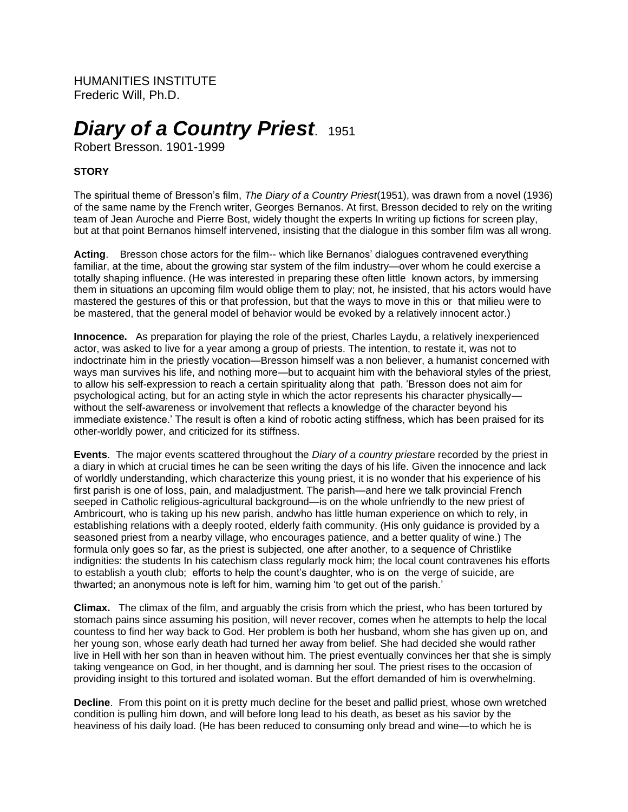HUMANITIES INSTITUTE Frederic Will, Ph.D.

# *Diary of a Country Priest*. 1951

Robert Bresson. 1901-1999

## **STORY**

The spiritual theme of Bresson's film, *The Diary of a Country Priest*(1951), was drawn from a novel (1936) of the same name by the French writer, Georges Bernanos. At first, Bresson decided to rely on the writing team of Jean Auroche and Pierre Bost, widely thought the experts In writing up fictions for screen play, but at that point Bernanos himself intervened, insisting that the dialogue in this somber film was all wrong.

**Acting**. Bresson chose actors for the film-- which like Bernanos' dialogues contravened everything familiar, at the time, about the growing star system of the film industry—over whom he could exercise a totally shaping influence. (He was interested in preparing these often little known actors, by immersing them in situations an upcoming film would oblige them to play; not, he insisted, that his actors would have mastered the gestures of this or that profession, but that the ways to move in this or that milieu were to be mastered, that the general model of behavior would be evoked by a relatively innocent actor.)

**Innocence.** As preparation for playing the role of the priest, Charles Laydu, a relatively inexperienced actor, was asked to live for a year among a group of priests. The intention, to restate it, was not to indoctrinate him in the priestly vocation—Bresson himself was a non believer, a humanist concerned with ways man survives his life, and nothing more—but to acquaint him with the behavioral styles of the priest, to allow his self-expression to reach a certain spirituality along that path. 'Bresson does not aim for psychological acting, but for an acting style in which the actor represents his character physically without the self-awareness or involvement that reflects a knowledge of the character beyond his immediate existence.' The result is often a kind of robotic acting stiffness, which has been praised for its other-worldly power, and criticized for its stiffness.

**Events**. The major events scattered throughout the *Diary of a country priest*are recorded by the priest in a diary in which at crucial times he can be seen writing the days of his life. Given the innocence and lack of worldly understanding, which characterize this young priest, it is no wonder that his experience of his first parish is one of loss, pain, and maladjustment. The parish—and here we talk provincial French seeped in Catholic religious-agricultural background—is on the whole unfriendly to the new priest of Ambricourt, who is taking up his new parish, andwho has little human experience on which to rely, in establishing relations with a deeply rooted, elderly faith community. (His only guidance is provided by a seasoned priest from a nearby village, who encourages patience, and a better quality of wine.) The formula only goes so far, as the priest is subjected, one after another, to a sequence of Christlike indignities: the students In his catechism class regularly mock him; the local count contravenes his efforts to establish a youth club; efforts to help the count's daughter, who is on the verge of suicide, are thwarted; an anonymous note is left for him, warning him 'to get out of the parish.'

**Climax.** The climax of the film, and arguably the crisis from which the priest, who has been tortured by stomach pains since assuming his position, will never recover, comes when he attempts to help the local countess to find her way back to God. Her problem is both her husband, whom she has given up on, and her young son, whose early death had turned her away from belief. She had decided she would rather live in Hell with her son than in heaven without him. The priest eventually convinces her that she is simply taking vengeance on God, in her thought, and is damning her soul. The priest rises to the occasion of providing insight to this tortured and isolated woman. But the effort demanded of him is overwhelming.

**Decline**. From this point on it is pretty much decline for the beset and pallid priest, whose own wretched condition is pulling him down, and will before long lead to his death, as beset as his savior by the heaviness of his daily load. (He has been reduced to consuming only bread and wine—to which he is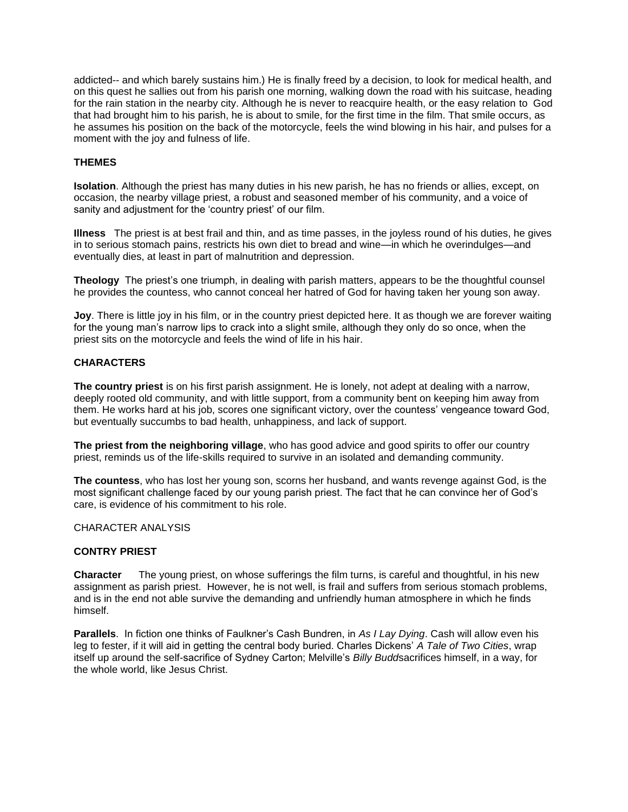addicted-- and which barely sustains him.) He is finally freed by a decision, to look for medical health, and on this quest he sallies out from his parish one morning, walking down the road with his suitcase, heading for the rain station in the nearby city. Although he is never to reacquire health, or the easy relation to God that had brought him to his parish, he is about to smile, for the first time in the film. That smile occurs, as he assumes his position on the back of the motorcycle, feels the wind blowing in his hair, and pulses for a moment with the joy and fulness of life.

### **THEMES**

**Isolation**. Although the priest has many duties in his new parish, he has no friends or allies, except, on occasion, the nearby village priest, a robust and seasoned member of his community, and a voice of sanity and adjustment for the 'country priest' of our film.

**Illness** The priest is at best frail and thin, and as time passes, in the joyless round of his duties, he gives in to serious stomach pains, restricts his own diet to bread and wine—in which he overindulges—and eventually dies, at least in part of malnutrition and depression.

**Theology** The priest's one triumph, in dealing with parish matters, appears to be the thoughtful counsel he provides the countess, who cannot conceal her hatred of God for having taken her young son away.

**Joy**. There is little joy in his film, or in the country priest depicted here. It as though we are forever waiting for the young man's narrow lips to crack into a slight smile, although they only do so once, when the priest sits on the motorcycle and feels the wind of life in his hair.

#### **CHARACTERS**

**The country priest** is on his first parish assignment. He is lonely, not adept at dealing with a narrow, deeply rooted old community, and with little support, from a community bent on keeping him away from them. He works hard at his job, scores one significant victory, over the countess' vengeance toward God, but eventually succumbs to bad health, unhappiness, and lack of support.

**The priest from the neighboring village**, who has good advice and good spirits to offer our country priest, reminds us of the life-skills required to survive in an isolated and demanding community.

**The countess**, who has lost her young son, scorns her husband, and wants revenge against God, is the most significant challenge faced by our young parish priest. The fact that he can convince her of God's care, is evidence of his commitment to his role.

#### CHARACTER ANALYSIS

#### **CONTRY PRIEST**

**Character** The young priest, on whose sufferings the film turns, is careful and thoughtful, in his new assignment as parish priest. However, he is not well, is frail and suffers from serious stomach problems, and is in the end not able survive the demanding and unfriendly human atmosphere in which he finds himself.

**Parallels**. In fiction one thinks of Faulkner's Cash Bundren, in *As I Lay Dying*. Cash will allow even his leg to fester, if it will aid in getting the central body buried. Charles Dickens' *A Tale of Two Cities*, wrap itself up around the self-sacrifice of Sydney Carton; Melville's *Billy Budd*sacrifices himself, in a way, for the whole world, like Jesus Christ.